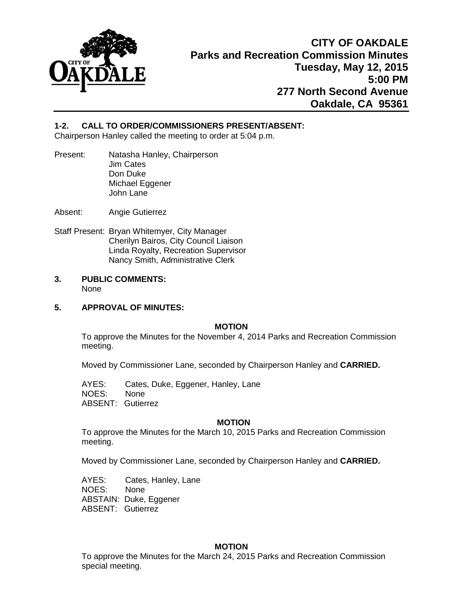

# **1-2. CALL TO ORDER/COMMISSIONERS PRESENT/ABSENT:**

Chairperson Hanley called the meeting to order at 5:04 p.m.

- Present: Natasha Hanley, Chairperson Jim Cates Don Duke Michael Eggener John Lane
- Absent: Angie Gutierrez
- Staff Present: Bryan Whitemyer, City Manager Cherilyn Bairos, City Council Liaison Linda Royalty, Recreation Supervisor Nancy Smith, Administrative Clerk
- **3. PUBLIC COMMENTS:** None

#### **5. APPROVAL OF MINUTES:**

#### **MOTION**

To approve the Minutes for the November 4, 2014 Parks and Recreation Commission meeting.

Moved by Commissioner Lane, seconded by Chairperson Hanley and **CARRIED.** 

AYES: Cates, Duke, Eggener, Hanley, Lane NOES: None ABSENT: Gutierrez

#### **MOTION**

To approve the Minutes for the March 10, 2015 Parks and Recreation Commission meeting.

Moved by Commissioner Lane, seconded by Chairperson Hanley and **CARRIED.** 

AYES: Cates, Hanley, Lane NOES: None ABSTAIN: Duke, Eggener ABSENT: Gutierrez

#### **MOTION**

To approve the Minutes for the March 24, 2015 Parks and Recreation Commission special meeting.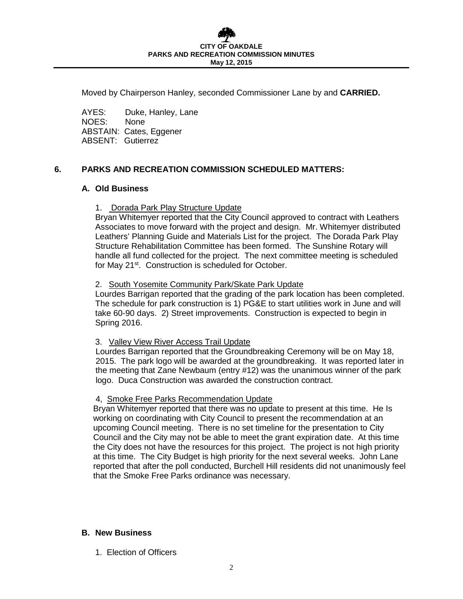Moved by Chairperson Hanley, seconded Commissioner Lane by and **CARRIED.** 

AYES: Duke, Hanley, Lane NOES: None ABSTAIN: Cates, Eggener ABSENT: Gutierrez

# **6. PARKS AND RECREATION COMMISSION SCHEDULED MATTERS:**

## **A. Old Business**

#### 1. Dorada Park Play Structure Update

Bryan Whitemyer reported that the City Council approved to contract with Leathers Associates to move forward with the project and design. Mr. Whitemyer distributed Leathers' Planning Guide and Materials List for the project. The Dorada Park Play Structure Rehabilitation Committee has been formed. The Sunshine Rotary will handle all fund collected for the project. The next committee meeting is scheduled for May 21<sup>st</sup>. Construction is scheduled for October.

## 2. South Yosemite Community Park/Skate Park Update

Lourdes Barrigan reported that the grading of the park location has been completed. The schedule for park construction is 1) PG&E to start utilities work in June and will take 60-90 days. 2) Street improvements. Construction is expected to begin in Spring 2016.

#### 3. Valley View River Access Trail Update

 Lourdes Barrigan reported that the Groundbreaking Ceremony will be on May 18, 2015. The park logo will be awarded at the groundbreaking. It was reported later in the meeting that Zane Newbaum (entry #12) was the unanimous winner of the park logo. Duca Construction was awarded the construction contract.

#### 4, Smoke Free Parks Recommendation Update

 Bryan Whitemyer reported that there was no update to present at this time. He Is working on coordinating with City Council to present the recommendation at an upcoming Council meeting. There is no set timeline for the presentation to City Council and the City may not be able to meet the grant expiration date. At this time the City does not have the resources for this project. The project is not high priority at this time. The City Budget is high priority for the next several weeks. John Lane reported that after the poll conducted, Burchell Hill residents did not unanimously feel that the Smoke Free Parks ordinance was necessary.

# **B. New Business**

1. Election of Officers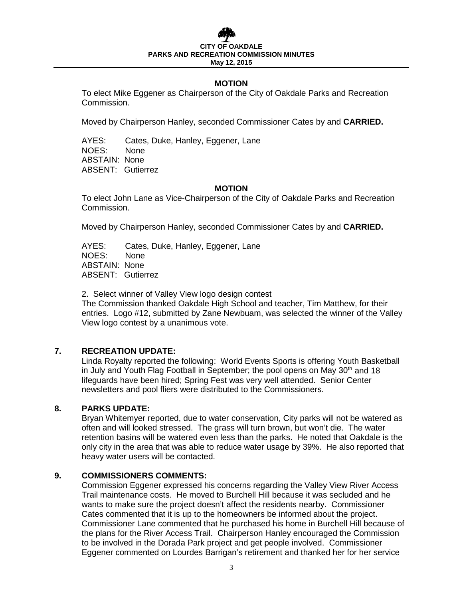# **CITY OF PARKS AND RECREATION COMMISSION MINUTES May 12, 2015**

# **MOTION**

To elect Mike Eggener as Chairperson of the City of Oakdale Parks and Recreation Commission.

Moved by Chairperson Hanley, seconded Commissioner Cates by and **CARRIED.** 

AYES: Cates, Duke, Hanley, Eggener, Lane<br>NOES: None NOES<sup>.</sup> ABSTAIN: None ABSENT: Gutierrez

#### **MOTION**

To elect John Lane as Vice-Chairperson of the City of Oakdale Parks and Recreation Commission.

Moved by Chairperson Hanley, seconded Commissioner Cates by and **CARRIED.** 

AYES: Cates, Duke, Hanley, Eggener, Lane NOES: None ABSTAIN: None ABSENT: Gutierrez

2. Select winner of Valley View logo design contest

The Commission thanked Oakdale High School and teacher, Tim Matthew, for their entries. Logo #12, submitted by Zane Newbuam, was selected the winner of the Valley View logo contest by a unanimous vote.

# **7. RECREATION UPDATE:**

Linda Royalty reported the following: World Events Sports is offering Youth Basketball in July and Youth Flag Football in September; the pool opens on May  $30<sup>th</sup>$  and 18 lifeguards have been hired; Spring Fest was very well attended. Senior Center newsletters and pool fliers were distributed to the Commissioners.

## **8. PARKS UPDATE:**

Bryan Whitemyer reported, due to water conservation, City parks will not be watered as often and will looked stressed. The grass will turn brown, but won't die. The water retention basins will be watered even less than the parks. He noted that Oakdale is the only city in the area that was able to reduce water usage by 39%. He also reported that heavy water users will be contacted.

#### **9. COMMISSIONERS COMMENTS:**

Commission Eggener expressed his concerns regarding the Valley View River Access Trail maintenance costs. He moved to Burchell Hill because it was secluded and he wants to make sure the project doesn't affect the residents nearby. Commissioner Cates commented that it is up to the homeowners be informed about the project. Commissioner Lane commented that he purchased his home in Burchell Hill because of the plans for the River Access Trail. Chairperson Hanley encouraged the Commission to be involved in the Dorada Park project and get people involved. Commissioner Eggener commented on Lourdes Barrigan's retirement and thanked her for her service